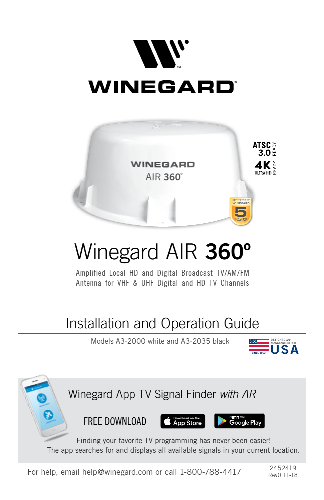



# Winegard AIR **360º**

Amplified Local HD and Digital Broadcast TV/AM/FM Antenna for VHF & UHF Digital and HD TV Channels

## Installation and Operation Guide

Models A3-2000 white and A3-2035 black





For help, email help@winegard.com or call 1-800-788-4417  $^{2452419}$ 

Rev0 11-18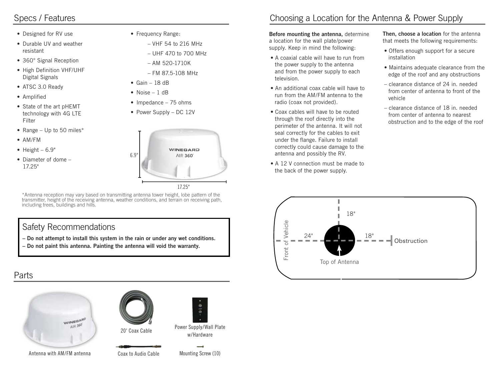## Specs / Features

- Designed for RV use
- Durable UV and weather resistant
- 360° Signal Reception
- High Definition VHF/UHF Digital Signals
- ATSC 3.0 Ready
- Amplified
- State of the art pHEMT technology with 4G LTE Filter
- Range Up to 50 miles\*
- AM/FM
- $\bullet$  Height 6.9"
- Diameter of dome 17.25"
- Frequency Range:
	- VHF 54 to 216 MHz
	- UHF 470 to 700 MHz
	- AM 520-1710K
	- FM 87.5-108 MHz
- $\bullet$  Gain 18 dB
- Noise 1 dB
- Impedance 75 ohms
- Power Supply DC 12V



\*Antenna reception may vary based on transmitting antenna tower height, lobe pattern of the transmitter, height of the receiving antenna, weather conditions, and terrain on receiving path, including trees, buildings and hills.

6.9"

## Safety Recommendations

- **Do not attempt to install this system in the rain or under any wet conditions.**
- **Do not paint this antenna. Painting the antenna will void the warranty.**

## Parts



Antenna with AM/FM antenna



20' Coax Cable

Coax to Audio Cable Mounting Screw (10)



Power Supply/Wall Plate w/Hardware

## Choosing a Location for the Antenna & Power Supply

**Before mounting the antenna,** determine a location for the wall plate/power supply. Keep in mind the following:

- A coaxial cable will have to run from the power supply to the antenna and from the power supply to each television.
- An additional coax cable will have to run from the AM/FM antenna to the radio (coax not provided).
- Coax cables will have to be routed through the roof directly into the perimeter of the antenna. It will not seal correctly for the cables to exit under the flange. Failure to install correctly could cause damage to the antenna and possibly the RV.
- A 12 V connection must be made to the back of the power supply.

**Then, choose a location** for the antenna that meets the following requirements:

- Offers enough support for a secure installation
- Maintains adequate clearance from the edge of the roof and any obstructions
- clearance distance of 24 in. needed from center of antenna to front of the vehicle
- clearance distance of 18 in. needed from center of antenna to nearest obstruction and to the edge of the roof

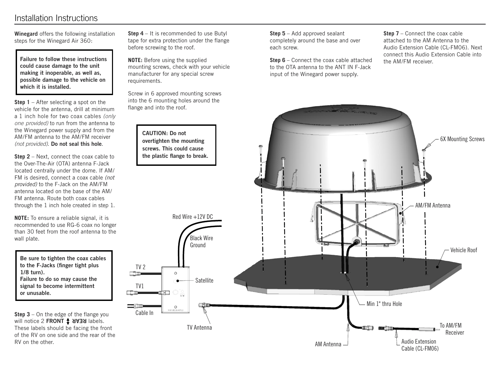## Installation Instructions

**Winegard** offers the following installation steps for the Winegard Air 360:

**Failure to follow these instructions could cause damage to the unit making it inoperable, as well as, possible damage to the vehicle on which it is installed.**

**Step 1** – After selecting a spot on the vehicle for the antenna, drill at minimum a 1 inch hole for two coax cables *(only one provided)* to run from the antenna to the Winegard power supply and from the AM/FM antenna to the AM/FM receiver *(not provided)*. **Do not seal this hole**.

**Step 2** – Next, connect the coax cable to the Over-The-Air (OTA) antenna F-Jack located centrally under the dome. If AM/ FM is desired, connect a coax cable *(not provided)* to the F-Jack on the AM/FM antenna located on the base of the AM/ FM antenna. Route both coax cables through the 1 inch hole created in step 1.

**NOTE:** To ensure a reliable signal, it is recommended to use RG-6 coax no longer than 30 feet from the roof antenna to the wall plate.

**Be sure to tighten the coax cables to the F-Jacks (finger tight plus 1/8 turn). Failure to do so may cause the signal to become intermittent or unusable.** 

**Step 3** – On the edge of the flange you will notice 2 FRONT **1 SYEM** labels. These labels should be facing the front of the RV on one side and the rear of the RV on the other.

**Step 4** – It is recommended to use Butyl tape for extra protection under the flange before screwing to the roof.

**NOTE:** Before using the supplied mounting screws, check with your vehicle manufacturer for any special screw requirements.

Screw in 6 approved mounting screws into the 6 mounting holes around the flange and into the roof.



**Step 6** – Connect the coax cable attached to the OTA antenna to the ANT IN F-Jack input of the Winegard power supply.

**Step 7** – Connect the coax cable attached to the AM Antenna to the Audio Extension Cable (CL-FM06). Next connect this Audio Extension Cable into the AM/FM receiver.

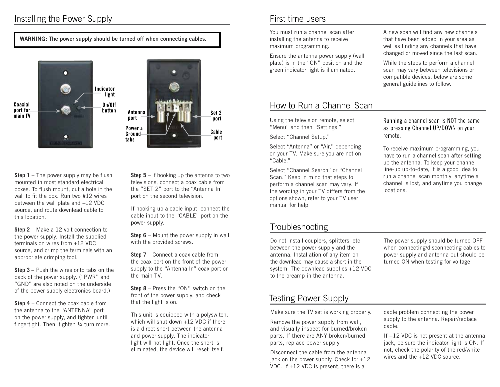## Installing the Power Supply

#### **WARNING: The power supply should be turned off when connecting cables.**



**Step 1** – The power supply may be flush mounted in most standard electrical boxes. To flush mount, cut a hole in the wall to fit the box. Run two #12 wires between the wall plate and +12 VDC source, and route downlead cable to this location.

**Step 2** – Make a 12 volt connection to the power supply. Install the supplied terminals on wires from +12 VDC source, and crimp the terminals with an appropriate crimping tool.

**Step 3** – Push the wires onto tabs on the back of the power supply. ("PWR" and "GND" are also noted on the underside of the power supply electronics board.)

**Step 4** – Connect the coax cable from the antenna to the "ANTENNA" port on the power supply, and tighten until fingertight. Then, tighten 1/4 turn more.

**Step 5** – If hooking up the antenna to two televisions, connect a coax cable from the "SET 2" port to the "Antenna In" port on the second television.

If hooking up a cable input, connect the cable input to the "CABLE" port on the power supply.

**Step 6** – Mount the power supply in wall with the provided screws.

**Step 7** – Connect a coax cable from the coax port on the front of the power supply to the "Antenna In" coax port on the main TV.

**Step 8** – Press the "ON" switch on the front of the power supply, and check that the light is on.

This unit is equipped with a polyswitch, which will shut down +12 VDC if there is a direct short between the antenna and power supply. The indicator light will not light. Once the short is eliminated, the device will reset itself.

### First time users

You must run a channel scan after installing the antenna to receive maximum programming.

Ensure the antenna power supply (wall plate) is in the "ON" position and the green indicator light is illuminated.

## How to Run a Channel Scan

Using the television remote, select "Menu" and then "Settings."

Select "Channel Setup."

Select "Antenna" or "Air," depending on your TV. Make sure you are not on "Cable."

Select "Channel Search" or "Channel Scan." Keep in mind that steps to perform a channel scan may vary. If the wording in your TV differs from the options shown, refer to your TV user manual for help.

## Troubleshooting

Do not install couplers, splitters, etc. between the power supply and the antenna. Installation of any item on the downlead may cause a short in the system. The downlead supplies +12 VDC to the preamp in the antenna.

## Testing Power Supply

Make sure the TV set is working properly.

Remove the power supply from wall, and visually inspect for burned/broken parts. If there are ANY broken/burned parts, replace power supply.

Disconnect the cable from the antenna jack on the power supply. Check for  $+12$ VDC. If +12 VDC is present, there is a

A new scan will find any new channels that have been added in your area as well as finding any channels that have changed or moved since the last scan.

While the steps to perform a channel scan may vary between televisions or compatible devices, below are some general guidelines to follow.

#### Running a channel scan is NOT the same as pressing Channel UP/DOWN on your remote.

To receive maximum programming, you have to run a channel scan after setting up the antenna. To keep your channel line-up up-to-date, it is a good idea to run a channel scan monthly, anytime a channel is lost, and anytime you change locations.

The power supply should be turned OFF when connecting/disconnecting cables to power supply and antenna but should be turned ON when testing for voltage.

cable problem connecting the power supply to the antenna. Repair/replace cable.

If +12 VDC is not present at the antenna jack, be sure the indicator light is ON. If not, check the polarity of the red/white wires and the +12 VDC source.